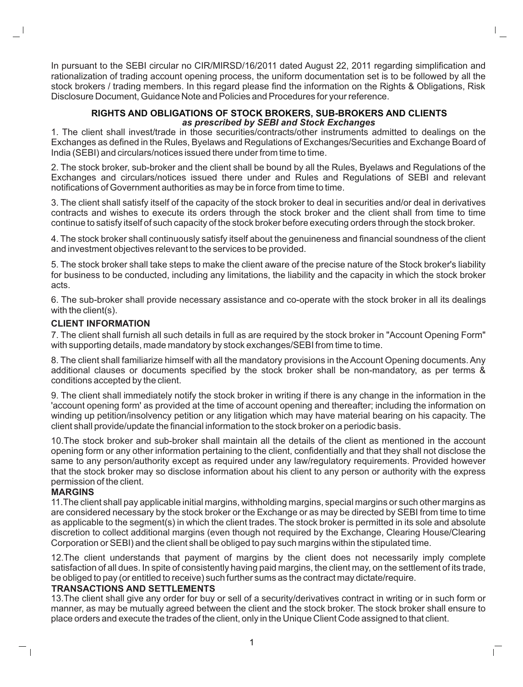In pursuant to the SEBI circular no CIR/MIRSD/16/2011 dated August 22, 2011 regarding simplification and rationalization of trading account opening process, the uniform documentation set is to be followed by all the stock brokers / trading members. In this regard please find the information on the Rights & Obligations, Risk Disclosure Document, Guidance Note and Policies and Procedures for your reference.

#### **RIGHTS AND OBLIGATIONS OF STOCK BROKERS, SUB-BROKERS AND CLIENTS**  *as prescribed by SEBI and Stock Exchanges*

1. The client shall invest/trade in those securities/contracts/other instruments admitted to dealings on the Exchanges as defined in the Rules, Byelaws and Regulations of Exchanges/Securities and Exchange Board of India (SEBI) and circulars/notices issued there under from time to time.

2. The stock broker, sub-broker and the client shall be bound by all the Rules, Byelaws and Regulations of the Exchanges and circulars/notices issued there under and Rules and Regulations of SEBI and relevant notifications of Government authorities as may be in force from time to time.

3. The client shall satisfy itself of the capacity of the stock broker to deal in securities and/or deal in derivatives contracts and wishes to execute its orders through the stock broker and the client shall from time to time continue to satisfy itself of such capacity of the stock broker before executing orders through the stock broker.

4. The stock broker shall continuously satisfy itself about the genuineness and financial soundness of the client and investment objectives relevant to the services to be provided.

5. The stock broker shall take steps to make the client aware of the precise nature of the Stock broker's liability for business to be conducted, including any limitations, the liability and the capacity in which the stock broker acts.

6. The sub-broker shall provide necessary assistance and co-operate with the stock broker in all its dealings with the client(s).

## **CLIENT INFORMATION**

7. The client shall furnish all such details in full as are required by the stock broker in "Account Opening Form" with supporting details, made mandatory by stock exchanges/SEBI from time to time.

8. The client shall familiarize himself with all the mandatory provisions in the Account Opening documents. Any additional clauses or documents specified by the stock broker shall be non-mandatory, as per terms & conditions accepted by the client.

9. The client shall immediately notify the stock broker in writing if there is any change in the information in the 'account opening form' as provided at the time of account opening and thereafter; including the information on winding up petition/insolvency petition or any litigation which may have material bearing on his capacity. The client shall provide/update the financial information to the stock broker on a periodic basis.

10.The stock broker and sub-broker shall maintain all the details of the client as mentioned in the account opening form or any other information pertaining to the client, confidentially and that they shall not disclose the same to any person/authority except as required under any law/regulatory requirements. Provided however that the stock broker may so disclose information about his client to any person or authority with the express permission of the client.

#### **MARGINS**

 $\Box$ 

11.The client shall pay applicable initial margins, withholding margins, special margins or such other margins as are considered necessary by the stock broker or the Exchange or as may be directed by SEBI from time to time as applicable to the segment(s) in which the client trades. The stock broker is permitted in its sole and absolute discretion to collect additional margins (even though not required by the Exchange, Clearing House/Clearing Corporation or SEBI) and the client shall be obliged to pay such margins within the stipulated time.

12.The client understands that payment of margins by the client does not necessarily imply complete satisfaction of all dues. In spite of consistently having paid margins, the client may, on the settlement of its trade, be obliged to pay (or entitled to receive) such further sums as the contract may dictate/require.

#### **TRANSACTIONS AND SETTLEMENTS**

13.The client shall give any order for buy or sell of a security/derivatives contract in writing or in such form or manner, as may be mutually agreed between the client and the stock broker. The stock broker shall ensure to place orders and execute the trades of the client, only in the Unique Client Code assigned to that client.

 $\mathbf{I}$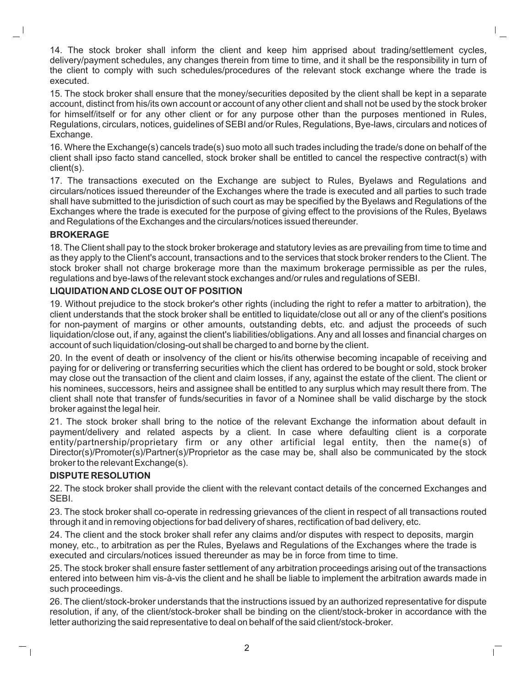14. The stock broker shall inform the client and keep him apprised about trading/settlement cycles, delivery/payment schedules, any changes therein from time to time, and it shall be the responsibility in turn of the client to comply with such schedules/procedures of the relevant stock exchange where the trade is executed.

15. The stock broker shall ensure that the money/securities deposited by the client shall be kept in a separate account, distinct from his/its own account or account of any other client and shall not be used by the stock broker for himself/itself or for any other client or for any purpose other than the purposes mentioned in Rules, Regulations, circulars, notices, guidelines of SEBI and/or Rules, Regulations, Bye-laws, circulars and notices of Exchange.

16. Where the Exchange(s) cancels trade(s) suo moto all such trades including the trade/s done on behalf of the client shall ipso facto stand cancelled, stock broker shall be entitled to cancel the respective contract(s) with client(s).

17. The transactions executed on the Exchange are subject to Rules, Byelaws and Regulations and circulars/notices issued thereunder of the Exchanges where the trade is executed and all parties to such trade shall have submitted to the jurisdiction of such court as may be specified by the Byelaws and Regulations of the Exchanges where the trade is executed for the purpose of giving effect to the provisions of the Rules, Byelaws and Regulations of the Exchanges and the circulars/notices issued thereunder.

## **BROKERAGE**

18. The Client shall pay to the stock broker brokerage and statutory levies as are prevailing from time to time and as they apply to the Client's account, transactions and to the services that stock broker renders to the Client. The stock broker shall not charge brokerage more than the maximum brokerage permissible as per the rules, regulations and bye-laws of the relevant stock exchanges and/or rules and regulations of SEBI.

## **LIQUIDATION AND CLOSE OUT OF POSITION**

19. Without prejudice to the stock broker's other rights (including the right to refer a matter to arbitration), the client understands that the stock broker shall be entitled to liquidate/close out all or any of the client's positions for non-payment of margins or other amounts, outstanding debts, etc. and adjust the proceeds of such liquidation/close out, if any, against the client's liabilities/obligations. Any and all losses and financial charges on account of such liquidation/closing-out shall be charged to and borne by the client.

20. In the event of death or insolvency of the client or his/its otherwise becoming incapable of receiving and paying for or delivering or transferring securities which the client has ordered to be bought or sold, stock broker may close out the transaction of the client and claim losses, if any, against the estate of the client. The client or his nominees, successors, heirs and assignee shall be entitled to any surplus which may result there from. The client shall note that transfer of funds/securities in favor of a Nominee shall be valid discharge by the stock broker against the legal heir.

21. The stock broker shall bring to the notice of the relevant Exchange the information about default in payment/delivery and related aspects by a client. In case where defaulting client is a corporate entity/partnership/proprietary firm or any other artificial legal entity, then the name(s) of Director(s)/Promoter(s)/Partner(s)/Proprietor as the case may be, shall also be communicated by the stock broker to the relevant Exchange(s).

## **DISPUTE RESOLUTION**

 $\perp$ 

22. The stock broker shall provide the client with the relevant contact details of the concerned Exchanges and SEBI.

23. The stock broker shall co-operate in redressing grievances of the client in respect of all transactions routed through it and in removing objections for bad delivery of shares, rectification of bad delivery, etc.

24. The client and the stock broker shall refer any claims and/or disputes with respect to deposits, margin money, etc., to arbitration as per the Rules, Byelaws and Regulations of the Exchanges where the trade is executed and circulars/notices issued thereunder as may be in force from time to time.

25. The stock broker shall ensure faster settlement of any arbitration proceedings arising out of the transactions entered into between him vis-à-vis the client and he shall be liable to implement the arbitration awards made in such proceedings.

26. The client/stock-broker understands that the instructions issued by an authorized representative for dispute resolution, if any, of the client/stock-broker shall be binding on the client/stock-broker in accordance with the letter authorizing the said representative to deal on behalf of the said client/stock-broker.

 $\mathbf{L}$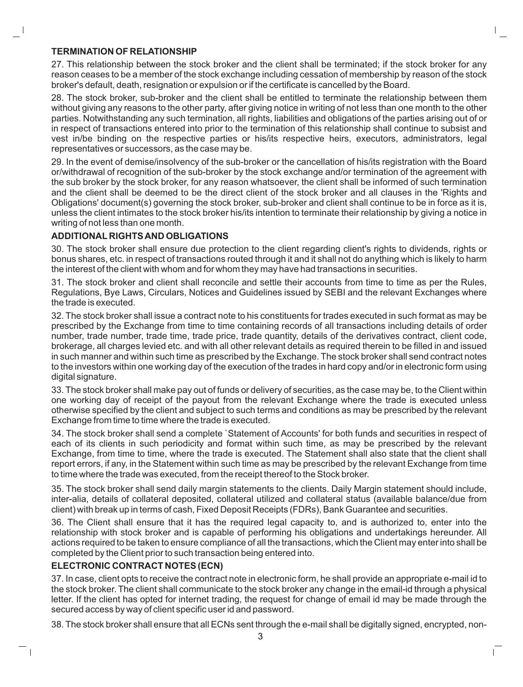#### **TERMINATION OF RELATIONSHIP**

27. This relationship between the stock broker and the client shall be terminated; if the stock broker for any reason ceases to be a member of the stock exchange including cessation of membership by reason of the stock broker's default, death, resignation or expulsion or if the certificate is cancelled by the Board.

28. The stock broker, sub-broker and the client shall be entitled to terminate the relationship between them without giving any reasons to the other party, after giving notice in writing of not less than one month to the other parties. Notwithstanding any such termination, all rights, liabilities and obligations of the parties arising out of or in respect of transactions entered into prior to the termination of this relationship shall continue to subsist and vest in/be binding on the respective parties or his/its respective heirs, executors, administrators, legal representatives or successors, as the case may be.

29. In the event of demise/insolvency of the sub-broker or the cancellation of his/its registration with the Board or/withdrawal of recognition of the sub-broker by the stock exchange and/or termination of the agreement with the sub broker by the stock broker, for any reason whatsoever, the client shall be informed of such termination and the client shall be deemed to be the direct client of the stock broker and all clauses in the 'Rights and Obligations' document(s) governing the stock broker, sub-broker and client shall continue to be in force as it is, unless the client intimates to the stock broker his/its intention to terminate their relationship by giving a notice in writing of not less than one month.

## **ADDITIONAL RIGHTS AND OBLIGATIONS**

30. The stock broker shall ensure due protection to the client regarding client's rights to dividends, rights or bonus shares, etc. in respect of transactions routed through it and it shall not do anything which is likely to harm the interest of the client with whom and for whom they may have had transactions in securities.

31. The stock broker and client shall reconcile and settle their accounts from time to time as per the Rules, Regulations, Bye Laws, Circulars, Notices and Guidelines issued by SEBI and the relevant Exchanges where the trade is executed.

32. The stock broker shall issue a contract note to his constituents for trades executed in such format as may be prescribed by the Exchange from time to time containing records of all transactions including details of order number, trade number, trade time, trade price, trade quantity, details of the derivatives contract, client code, brokerage, all charges levied etc. and with all other relevant details as required therein to be filled in and issued in such manner and within such time as prescribed by the Exchange. The stock broker shall send contract notes to the investors within one working day of the execution of the trades in hard copy and/or in electronic form using digital signature.

33. The stock broker shall make pay out of funds or delivery of securities, as the case may be, to the Client within one working day of receipt of the payout from the relevant Exchange where the trade is executed unless otherwise specified by the client and subject to such terms and conditions as may be prescribed by the relevant Exchange from time to time where the trade is executed.

34. The stock broker shall send a complete `Statement of Accounts' for both funds and securities in respect of each of its clients in such periodicity and format within such time, as may be prescribed by the relevant Exchange, from time to time, where the trade is executed. The Statement shall also state that the client shall report errors, if any, in the Statement within such time as may be prescribed by the relevant Exchange from time to time where the trade was executed, from the receipt thereof to the Stock broker.

35. The stock broker shall send daily margin statements to the clients. Daily Margin statement should include, inter-alia, details of collateral deposited, collateral utilized and collateral status (available balance/due from client) with break up in terms of cash, Fixed Deposit Receipts (FDRs), Bank Guarantee and securities.

36. The Client shall ensure that it has the required legal capacity to, and is authorized to, enter into the relationship with stock broker and is capable of performing his obligations and undertakings hereunder. All actions required to be taken to ensure compliance of all the transactions, which the Client may enter into shall be completed by the Client prior to such transaction being entered into.

# **ELECTRONIC CONTRACT NOTES (ECN)**

 $\perp$ 

37. In case, client opts to receive the contract note in electronic form, he shall provide an appropriate e-mail id to the stock broker. The client shall communicate to the stock broker any change in the email-id through a physical letter. If the client has opted for internet trading, the request for change of email id may be made through the secured access by way of client specific user id and password.

38. The stock broker shall ensure that all ECNs sent through the e-mail shall be digitally signed, encrypted, non-

 $\mathbb{L}$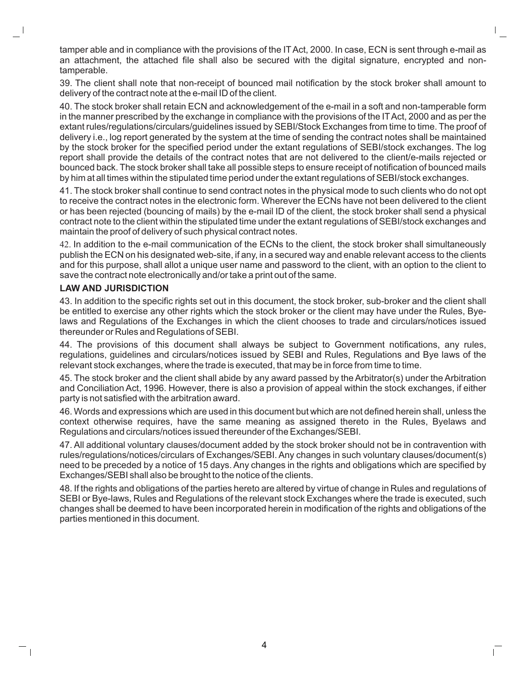tamper able and in compliance with the provisions of the ITAct, 2000. In case, ECN is sent through e-mail as an attachment, the attached file shall also be secured with the digital signature, encrypted and nontamperable.

39. The client shall note that non-receipt of bounced mail notification by the stock broker shall amount to delivery of the contract note at the e-mail ID of the client.

40. The stock broker shall retain ECN and acknowledgement of the e-mail in a soft and non-tamperable form in the manner prescribed by the exchange in compliance with the provisions of the ITAct, 2000 and as per the extant rules/regulations/circulars/guidelines issued by SEBI/Stock Exchanges from time to time. The proof of delivery i.e., log report generated by the system at the time of sending the contract notes shall be maintained by the stock broker for the specified period under the extant regulations of SEBI/stock exchanges. The log report shall provide the details of the contract notes that are not delivered to the client/e-mails rejected or bounced back. The stock broker shall take all possible steps to ensure receipt of notification of bounced mails by him at all times within the stipulated time period under the extant regulations of SEBI/stock exchanges.

41. The stock broker shall continue to send contract notes in the physical mode to such clients who do not opt to receive the contract notes in the electronic form. Wherever the ECNs have not been delivered to the client or has been rejected (bouncing of mails) by the e-mail ID of the client, the stock broker shall send a physical contract note to the client within the stipulated time under the extant regulations of SEBI/stock exchanges and maintain the proof of delivery of such physical contract notes.

42. In addition to the e-mail communication of the ECNs to the client, the stock broker shall simultaneously publish the ECN on his designated web-site, if any, in a secured way and enable relevant access to the clients and for this purpose, shall allot a unique user name and password to the client, with an option to the client to save the contract note electronically and/or take a print out of the same.

#### **LAW AND JURISDICTION**

 $\Box$ 

43. In addition to the specific rights set out in this document, the stock broker, sub-broker and the client shall be entitled to exercise any other rights which the stock broker or the client may have under the Rules, Byelaws and Regulations of the Exchanges in which the client chooses to trade and circulars/notices issued thereunder or Rules and Regulations of SEBI.

44. The provisions of this document shall always be subject to Government notifications, any rules, regulations, guidelines and circulars/notices issued by SEBI and Rules, Regulations and Bye laws of the relevant stock exchanges, where the trade is executed, that may be in force from time to time.

45. The stock broker and the client shall abide by any award passed by the Arbitrator(s) under the Arbitration and Conciliation Act, 1996. However, there is also a provision of appeal within the stock exchanges, if either party is not satisfied with the arbitration award.

46. Words and expressions which are used in this document but which are not defined herein shall, unless the context otherwise requires, have the same meaning as assigned thereto in the Rules, Byelaws and Regulations and circulars/notices issued thereunder of the Exchanges/SEBI.

47. All additional voluntary clauses/document added by the stock broker should not be in contravention with rules/regulations/notices/circulars of Exchanges/SEBI. Any changes in such voluntary clauses/document(s) need to be preceded by a notice of 15 days. Any changes in the rights and obligations which are specified by Exchanges/SEBI shall also be brought to the notice of the clients.

48. If the rights and obligations of the parties hereto are altered by virtue of change in Rules and regulations of SEBI or Bye-laws, Rules and Regulations of the relevant stock Exchanges where the trade is executed, such changes shall be deemed to have been incorporated herein in modification of the rights and obligations of the parties mentioned in this document.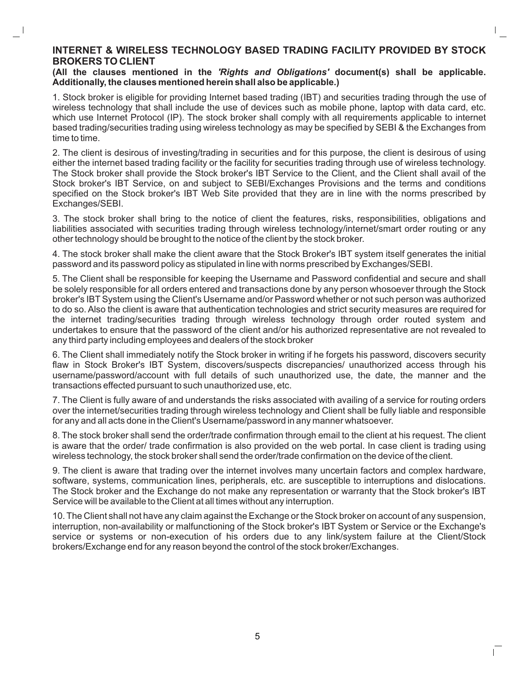## **INTERNET & WIRELESS TECHNOLOGY BASED TRADING FACILITY PROVIDED BY STOCK BROKERS TO CLIENT**

#### **(All the clauses mentioned in the** *'Rights and Obligations'* **document(s) shall be applicable. Additionally, the clauses mentioned herein shall also be applicable.)**

1. Stock broker is eligible for providing Internet based trading (IBT) and securities trading through the use of wireless technology that shall include the use of devices such as mobile phone, laptop with data card, etc. which use Internet Protocol (IP). The stock broker shall comply with all requirements applicable to internet based trading/securities trading using wireless technology as may be specified by SEBI & the Exchanges from time to time.

2. The client is desirous of investing/trading in securities and for this purpose, the client is desirous of using either the internet based trading facility or the facility for securities trading through use of wireless technology. The Stock broker shall provide the Stock broker's IBT Service to the Client, and the Client shall avail of the Stock broker's IBT Service, on and subject to SEBI/Exchanges Provisions and the terms and conditions specified on the Stock broker's IBT Web Site provided that they are in line with the norms prescribed by Exchanges/SEBI.

3. The stock broker shall bring to the notice of client the features, risks, responsibilities, obligations and liabilities associated with securities trading through wireless technology/internet/smart order routing or any other technology should be brought to the notice of the client by the stock broker.

4. The stock broker shall make the client aware that the Stock Broker's IBT system itself generates the initial password and its password policy as stipulated in line with norms prescribed by Exchanges/SEBI.

5. The Client shall be responsible for keeping the Username and Password confidential and secure and shall be solely responsible for all orders entered and transactions done by any person whosoever through the Stock broker's IBTSystem using the Client's Username and/or Password whether or not such person was authorized to do so. Also the client is aware that authentication technologies and strict security measures are required for the internet trading/securities trading through wireless technology through order routed system and undertakes to ensure that the password of the client and/or his authorized representative are not revealed to any third party including employees and dealers of the stock broker

6. The Client shall immediately notify the Stock broker in writing if he forgets his password, discovers security flaw in Stock Broker's IBT System, discovers/suspects discrepancies/ unauthorized access through his username/password/account with full details of such unauthorized use, the date, the manner and the transactions effected pursuant to such unauthorized use, etc.

7. The Client is fully aware of and understands the risks associated with availing of a service for routing orders over the internet/securities trading through wireless technology and Client shall be fully liable and responsible for any and all acts done in the Client's Username/password in any manner whatsoever.

8. The stock broker shall send the order/trade confirmation through email to the client at his request. The client is aware that the order/ trade confirmation is also provided on the web portal. In case client is trading using wireless technology, the stock broker shall send the order/trade confirmation on the device of the client.

9. The client is aware that trading over the internet involves many uncertain factors and complex hardware, software, systems, communication lines, peripherals, etc. are susceptible to interruptions and dislocations. The Stock broker and the Exchange do not make any representation or warranty that the Stock broker's IBT Service will be available to the Client at all times without any interruption.

10. The Client shall not have any claim against the Exchange or the Stock broker on account of any suspension, interruption, non-availability or malfunctioning of the Stock broker's IBT System or Service or the Exchange's service or systems or non-execution of his orders due to any link/system failure at the Client/Stock brokers/Exchange end for any reason beyond the control of the stock broker/Exchanges.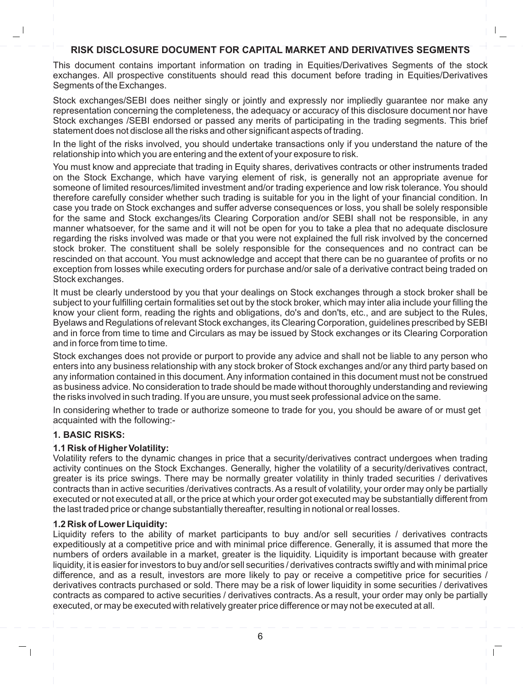# **RISK DISCLOSURE DOCUMENT FOR CAPITAL MARKET AND DERIVATIVES SEGMENTS**

This document contains important information on trading in Equities/Derivatives Segments of the stock exchanges. All prospective constituents should read this document before trading in Equities/Derivatives Segments of the Exchanges.

Stock exchanges/SEBI does neither singly or jointly and expressly nor impliedly guarantee nor make any representation concerning the completeness, the adequacy or accuracy of this disclosure document nor have Stock exchanges /SEBI endorsed or passed any merits of participating in the trading segments. This brief statement does not disclose all the risks and other significant aspects of trading.

In the light of the risks involved, you should undertake transactions only if you understand the nature of the relationship into which you are entering and the extent of your exposure to risk.

You must know and appreciate that trading in Equity shares, derivatives contracts or other instruments traded on the Stock Exchange, which have varying element of risk, is generally not an appropriate avenue for someone of limited resources/limited investment and/or trading experience and low risk tolerance. You should therefore carefully consider whether such trading is suitable for you in the light of your financial condition. In case you trade on Stock exchanges and suffer adverse consequences or loss, you shall be solely responsible for the same and Stock exchanges/its Clearing Corporation and/or SEBI shall not be responsible, in any manner whatsoever, for the same and it will not be open for you to take a plea that no adequate disclosure regarding the risks involved was made or that you were not explained the full risk involved by the concerned stock broker. The constituent shall be solely responsible for the consequences and no contract can be rescinded on that account. You must acknowledge and accept that there can be no guarantee of profits or no exception from losses while executing orders for purchase and/or sale of a derivative contract being traded on Stock exchanges.

It must be clearly understood by you that your dealings on Stock exchanges through a stock broker shall be subject to your fulfilling certain formalities set out by the stock broker, which may inter alia include your filling the know your client form, reading the rights and obligations, do's and don'ts, etc., and are subject to the Rules, Byelaws and Regulations of relevant Stock exchanges, its Clearing Corporation, guidelines prescribed by SEBI and in force from time to time and Circulars as may be issued by Stock exchanges or its Clearing Corporation and in force from time to time.

Stock exchanges does not provide or purport to provide any advice and shall not be liable to any person who enters into any business relationship with any stock broker of Stock exchanges and/or any third party based on any information contained in this document. Any information contained in this document must not be construed as business advice. No consideration to trade should be made without thoroughly understanding and reviewing the risks involved in such trading. If you are unsure, you must seek professional advice on the same.

In considering whether to trade or authorize someone to trade for you, you should be aware of or must get acquainted with the following:-

## **1. BASIC RISKS:**

.

## **1.1 Risk of Higher Volatility:**

Volatility refers to the dynamic changes in price that a security/derivatives contract undergoes when trading activity continues on the Stock Exchanges. Generally, higher the volatility of a security/derivatives contract, greater is its price swings. There may be normally greater volatility in thinly traded securities / derivatives contracts than in active securities /derivatives contracts. As a result of volatility, your order may only be partially executed or not executed at all, or the price at which your order got executed may be substantially different from the last traded price or change substantially thereafter, resulting in notional or real losses.

## **1.2 Risk of Lower Liquidity:**

Liquidity refers to the ability of market participants to buy and/or sell securities / derivatives contracts expeditiously at a competitive price and with minimal price difference. Generally, it is assumed that more the numbers of orders available in a market, greater is the liquidity. Liquidity is important because with greater liquidity, it is easier for investors to buy and/or sell securities / derivatives contracts swiftly and with minimal price difference, and as a result, investors are more likely to pay or receive a competitive price for securities / derivatives contracts purchased or sold. There may be a risk of lower liquidity in some securities / derivatives contracts as compared to active securities / derivatives contracts. As a result, your order may only be partially executed, or may be executed with relatively greater price difference or may not be executed at all.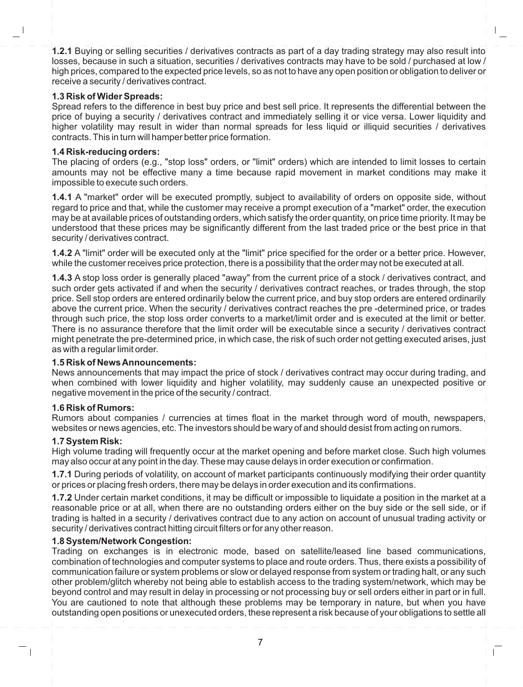**1.2.1** Buying or selling securities / derivatives contracts as part of a day trading strategy may also result into losses, because in such a situation, securities / derivatives contracts may have to be sold / purchased at low / high prices, compared to the expected price levels, so as not to have any open position or obligation to deliver or receive a security / derivatives contract.

## **1.3 Risk of Wider Spreads:**

Spread refers to the difference in best buy price and best sell price. It represents the differential between the price of buying a security / derivatives contract and immediately selling it or vice versa. Lower liquidity and higher volatility may result in wider than normal spreads for less liquid or illiquid securities / derivatives contracts. This in turn will hamper better price formation.

## **1.4 Risk-reducing orders:**

The placing of orders (e.g., "stop loss" orders, or "limit" orders) which are intended to limit losses to certain amounts may not be effective many a time because rapid movement in market conditions may make it impossible to execute such orders.

**1.4.1** A "market" order will be executed promptly, subject to availability of orders on opposite side, without regard to price and that, while the customer may receive a prompt execution of a "market" order, the execution may be at available prices of outstanding orders, which satisfy the order quantity, on price time priority. It may be understood that these prices may be significantly different from the last traded price or the best price in that security / derivatives contract.

**1.4.2** A "limit" order will be executed only at the "limit" price specified for the order or a better price. However, while the customer receives price protection, there is a possibility that the order may not be executed at all.

**1.4.3** A stop loss order is generally placed "away" from the current price of a stock / derivatives contract, and such order gets activated if and when the security / derivatives contract reaches, or trades through, the stop price. Sell stop orders are entered ordinarily below the current price, and buy stop orders are entered ordinarily above the current price. When the security / derivatives contract reaches the pre -determined price, or trades through such price, the stop loss order converts to a market/limit order and is executed at the limit or better. There is no assurance therefore that the limit order will be executable since a security / derivatives contract might penetrate the pre-determined price, in which case, the risk of such order not getting executed arises, just as with a regular limit order.

# **1.5 Risk of News Announcements:**

News announcements that may impact the price of stock / derivatives contract may occur during trading, and when combined with lower liquidity and higher volatility, may suddenly cause an unexpected positive on negative movement in the price of the security / contract.

## **1.6 Risk of Rumors:**

Rumors about companies / currencies at times float in the market through word of mouth, newspapers, websites or news agencies, etc. The investors should be wary of and should desist from acting on rumors.

## **1.7 System Risk:**

High volume trading will frequently occur at the market opening and before market close. Such high volumes may also occur at any point in the day. These may cause delays in order execution or confirmation.

**1.7.1** During periods of volatility, on account of market participants continuously modifying their order quantity or prices or placing fresh orders, there may be delays in order execution and its confirmations.

**1.7.2** Under certain market conditions, it may be difficult or impossible to liquidate a position in the market at a reasonable price or at all, when there are no outstanding orders either on the buy side or the sell side, or if trading is halted in a security / derivatives contract due to any action on account of unusual trading activity or security / derivatives contract hitting circuit filters or for any other reason.

## **1.8 System/Network Congestion:**

Trading on exchanges is in electronic mode, based on satellite/leased line based communications, combination of technologies and computer systems to place and route orders. Thus, there exists a possibility of communication failure or system problems or slow or delayed response from system or trading halt, or any such other problem/glitch whereby not being able to establish access to the trading system/network, which may be beyond control and may result in delay in processing or not processing buy or sell orders either in part or in full. You are cautioned to note that although these problems may be temporary in nature, but when you have outstanding open positions or unexecuted orders, these represent a risk because of your obligations to settle all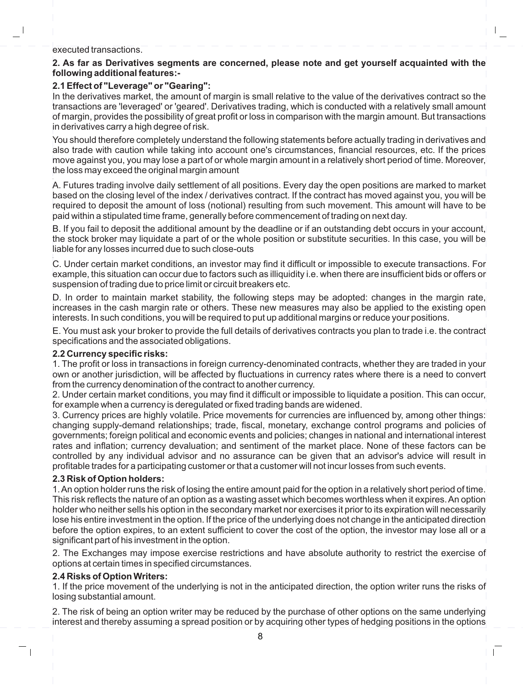#### executed transactions.

## **2. As far as Derivatives segments are concerned, please note and get yourself acquainted with the following additional features:-**

## **2.1 Effect of "Leverage" or "Gearing":**

In the derivatives market, the amount of margin is small relative to the value of the derivatives contract so the transactions are 'leveraged' or 'geared'. Derivatives trading, which is conducted with a relatively small amount of margin, provides the possibility of great profit or loss in comparison with the margin amount. But transactions in derivatives carry a high degree of risk.

You should therefore completely understand the following statements before actually trading in derivatives and also trade with caution while taking into account one's circumstances, financial resources, etc. If the prices move against you, you may lose a part of or whole margin amount in a relatively short period of time. Moreover, the loss may exceed the original margin amount

. A. Futures trading involve daily settlement of all positions. Every day the open positions are marked to market based on the closing level of the index / derivatives contract. If the contract has moved against you, you will be required to deposit the amount of loss (notional) resulting from such movement. This amount will have to be paid within a stipulated time frame, generally before commencement of trading on next day.

B. If you fail to deposit the additional amount by the deadline or if an outstanding debt occurs in your account, the stock broker may liquidate a part of or the whole position or substitute securities. In this case, you will be liable for any losses incurred due to such close-outs

C. Under certain market conditions, an investor may find it difficult or impossible to execute transactions. For example, this situation can occur due to factors such as illiquidity i.e. when there are insufficient bids or offers or suspension of trading due to price limit or circuit breakers etc.

D. In order to maintain market stability, the following steps may be adopted: changes in the margin rate, increases in the cash margin rate or others. These new measures may also be applied to the existing open interests. In such conditions, you will be required to put up additional margins or reduce your positions.

E. You must ask your broker to provide the full details of derivatives contracts you plan to trade i.e. the contract specifications and the associated obligations.

## **2.2 Currency specific risks:**

1. The profit or loss in transactions in foreign currency-denominated contracts, whether they are traded in your own or another jurisdiction, will be affected by fluctuations in currency rates where there is a need to convert from the currency denomination of the contract to another currency.

2. Under certain market conditions, you may find it difficult or impossible to liquidate a position. This can occur, for example when a currency is deregulated or fixed trading bands are widened.

3. Currency prices are highly volatile. Price movements for currencies are influenced by, among other things: changing supply-demand relationships; trade, fiscal, monetary, exchange control programs and policies of governments; foreign political and economic events and policies; changes in national and international interest rates and inflation; currency devaluation; and sentiment of the market place. None of these factors can be controlled by any individual advisor and no assurance can be given that an advisor's advice will result in profitable trades for a participating customer or that a customer will not incur losses from such events.

## **2.3 Risk of Option holders:**

1. An option holder runs the risk of losing the entire amount paid for the option in a relatively short period of time. This risk reflects the nature of an option as a wasting asset which becomes worthless when it expires. An option holder who neither sells his option in the secondary market nor exercises it prior to its expiration will necessarily lose his entire investment in the option. If the price of the underlying does not change in the anticipated direction before the option expires, to an extent sufficient to cover the cost of the option, the investor may lose all or a significant part of his investment in the option.

2. The Exchanges may impose exercise restrictions and have absolute authority to restrict the exercise of options at certain times in specified circumstances.

## **2.4 Risks of Option Writers:**

1. If the price movement of the underlying is not in the anticipated direction, the option writer runs the risks of losing substantial amount.

2. The risk of being an option writer may be reduced by the purchase of other options on the same underlying interest and thereby assuming a spread position or by acquiring other types of hedging positions in the options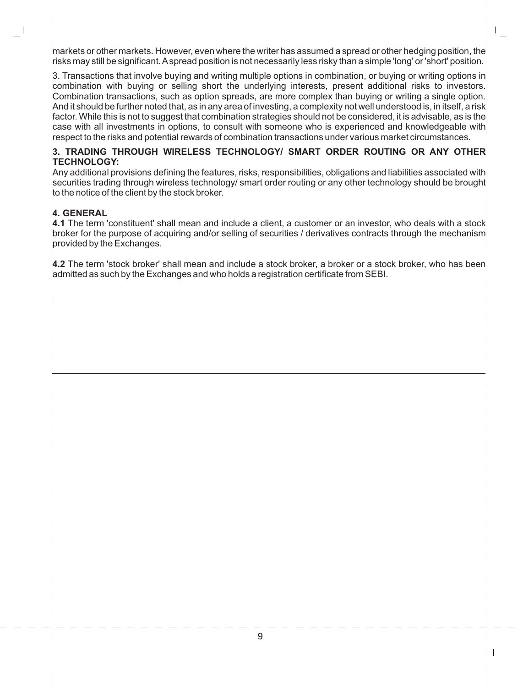markets or other markets. However, even where the writer has assumed a spread or other hedging position, the risks may still be significant. A spread position is not necessarily less risky than a simple 'long' or 'short' position.  $\mathsf I$ 

3. Transactions that involve buying and writing multiple options in combination, or buying or writing options in combination with buying or selling short the underlying interests, present additional risks to investors. Combination transactions, such as option spreads, are more complex than buying or writing a single option. And it should be further noted that, as in any area of investing, a complexity not well understood is, in itself, a risk $^\prime$ factor. While this is not to suggest that combination strategies should not be considered, it is advisable, as is the case with all investments in options, to consult with someone who is experienced and knowledgeable with respect to the risks and potential rewards of combination transactions under various market circumstances.

## **3. TRADING THROUGH WIRELESS TECHNOLOGY/ SMART ORDER ROUTING OR ANY OTHER TECHNOLOGY:**

Any additional provisions defining the features, risks, responsibilities, obligations and liabilities associated with securities trading through wireless technology/ smart order routing or any other technology should be brought to the notice of the client by the stock broker.

# **4. GENERAL**

**4.1** The term 'constituent' shall mean and include a client, a customer or an investor, who deals with a stock broker for the purpose of acquiring and/or selling of securities / derivatives contracts through the mechanism provided by the Exchanges.

**4.2** The term 'stock broker' shall mean and include a stock broker, a broker or a stock broker, who has been admitted as such by the Exchanges and who holds a registration certificate from SEBI.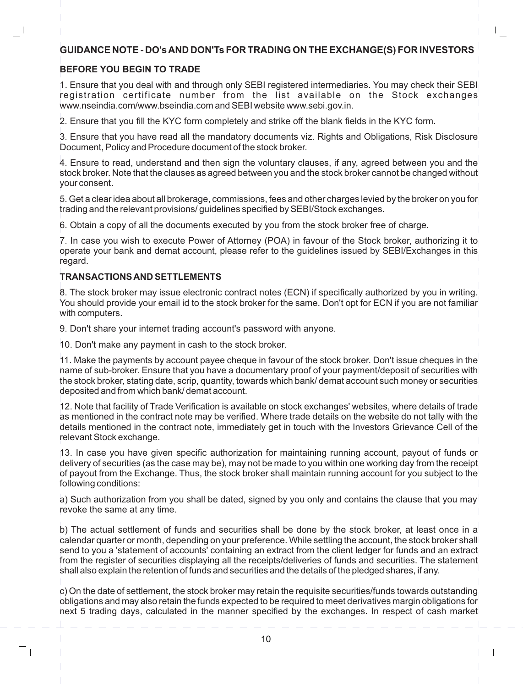# **GUIDANCE NOTE - DO's AND DON'Ts FOR TRADING ON THE EXCHANGE(S) FOR INVESTORS**

# **BEFORE YOU BEGIN TO TRADE**

1. Ensure that you deal with and through only SEBI registered intermediaries. You may check their SEBI registration certificate number from the list available on the Stock exchanges www.nseindia.com/www.bseindia.com and SEBI website www.sebi.gov.in.

2. Ensure that you fill the KYC form completely and strike off the blank fields in the KYC form.

3. Ensure that you have read all the mandatory documents viz. Rights and Obligations, Risk Disclosure Document, Policy and Procedure document of the stock broker.

4. Ensure to read, understand and then sign the voluntary clauses, if any, agreed between you and the stock broker. Note that the clauses as agreed between you and the stock broker cannot be changed without your consent.

5. Get a clear idea about all brokerage, commissions, fees and other charges levied by the broker on you for trading and the relevant provisions/ guidelines specified by SEBI/Stock exchanges.

6. Obtain a copy of all the documents executed by you from the stock broker free of charge.

7. In case you wish to execute Power of Attorney (POA) in favour of the Stock broker, authorizing it to operate your bank and demat account, please refer to the guidelines issued by SEBI/Exchanges in this regard.

# **TRANSACTIONS AND SETTLEMENTS**

8. The stock broker may issue electronic contract notes (ECN) if specifically authorized by you in writing. You should provide your email id to the stock broker for the same. Don't opt for ECN if you are not familiar with computers.

9. Don't share your internet trading account's password with anyone.

10. Don't make any payment in cash to the stock broker.

11. Make the payments by account payee cheque in favour of the stock broker. Don't issue cheques in the name of sub-broker. Ensure that you have a documentary proof of your payment/deposit of securities with the stock broker, stating date, scrip, quantity, towards which bank/ demat account such money or securities deposited and from which bank/ demat account.

12. Note that facility of Trade Verification is available on stock exchanges' websites, where details of trade as mentioned in the contract note may be verified. Where trade details on the website do not tally with the details mentioned in the contract note, immediately get in touch with the Investors Grievance Cell of the relevant Stock exchange.

13. In case you have given specific authorization for maintaining running account, payout of funds or delivery of securities (as the case may be), may not be made to you within one working day from the receipt of payout from the Exchange. Thus, the stock broker shall maintain running account for you subject to the following conditions:

a) Such authorization from you shall be dated, signed by you only and contains the clause that you may revoke the same at any time.

b) The actual settlement of funds and securities shall be done by the stock broker, at least once in a calendar quarter or month, depending on your preference. While settling the account, the stock broker shall send to you a 'statement of accounts' containing an extract from the client ledger for funds and an extract from the register of securities displaying all the receipts/deliveries of funds and securities. The statement shall also explain the retention of funds and securities and the details of the pledged shares, if any.

 $c$ ) On the date of settlement, the stock broker may retain the requisite securities/funds towards outstanding obligations and may also retain the funds expected to be required to meet derivatives margin obligations for next 5 trading days, calculated in the manner specified by the exchanges. In respect of cash market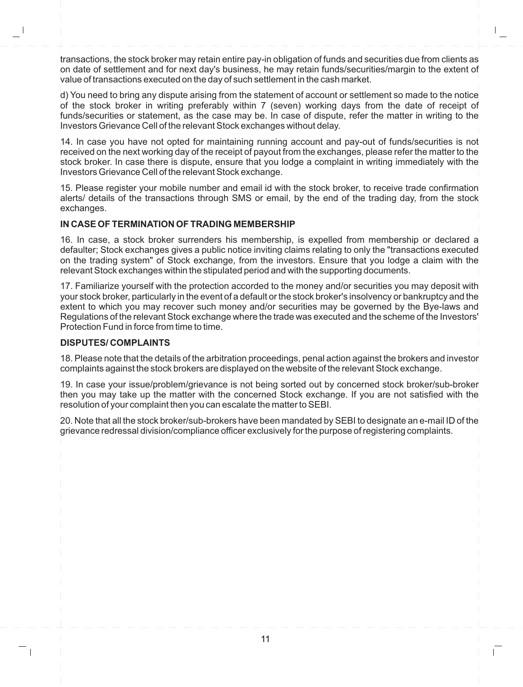transactions, the stock broker may retain entire pay-in obligation of funds and securities due from clients as on date of settlement and for next day's business, he may retain funds/securities/margin to the extent of value of transactions executed on the day of such settlement in the cash market.

d) You need to bring any dispute arising from the statement of account or settlement so made to the notice of the stock broker in writing preferably within 7 (seven) working days from the date of receipt of funds/securities or statement, as the case may be. In case of dispute, refer the matter in writing to the Investors Grievance Cell of the relevant Stock exchanges without delay.

14. In case you have not opted for maintaining running account and pay-out of funds/securities is not received on the next working day of the receipt of payout from the exchanges, please refer the matter to the stock broker. In case there is dispute, ensure that you lodge a complaint in writing immediately with the Investors Grievance Cell of the relevant Stock exchange.

15. Please register your mobile number and email id with the stock broker, to receive trade confirmation alerts/ details of the transactions through SMS or email, by the end of the trading day, from the stock exchanges.

## **IN CASE OF TERMINATION OF TRADING MEMBERSHIP**

16. In case, a stock broker surrenders his membership, is expelled from membership or declared a defaulter; Stock exchanges gives a public notice inviting claims relating to only the "transactions executed on the trading system" of Stock exchange, from the investors. Ensure that you lodge a claim with the relevant Stock exchanges within the stipulated period and with the supporting documents.

17. Familiarize yourself with the protection accorded to the money and/or securities you may deposit with your stock broker, particularly in the event of a default or the stock broker's insolvency or bankruptcy and the extent to which you may recover such money and/or securities may be governed by the Bye-laws and Regulations of the relevant Stock exchange where the trade was executed and the scheme of the Investors' Protection Fund in force from time to time.

## **DISPUTES/ COMPLAINTS**

18. Please note that the details of the arbitration proceedings, penal action against the brokers and investor complaints against the stock brokers are displayed on the website of the relevant Stock exchange.

19. In case your issue/problem/grievance is not being sorted out by concerned stock broker/sub-broker then you may take up the matter with the concerned Stock exchange. If you are not satisfied with the resolution of your complaint then you can escalate the matter to SEBI.

20. Note that all the stock broker/sub-brokers have been mandated by SEBI to designate an e-mail ID of the grievance redressal division/compliance officer exclusively for the purpose of registering complaints.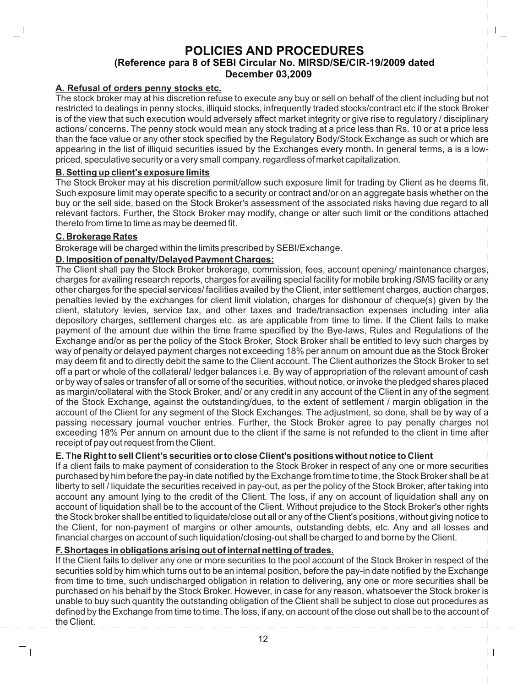# **POLICIES AND PROCEDURES (Reference para 8 of SEBI Circular No. MIRSD/SE/CIR-19/2009 dated December 03,2009**

## **A. Refusal of orders penny stocks etc.**

The stock broker may at his discretion refuse to execute any buy or sell on behalf of the client including but not restricted to dealings in penny stocks, illiquid stocks, infrequently traded stocks/contract etc if the stock Broker is of the view that such execution would adversely affect market integrity or give rise to regulatory / disciplinary actions/ concerns. The penny stock would mean any stock trading at a price less than Rs. 10 or at a price less than the face value or any other stock specified by the Regulatory Body/Stock Exchange as such or which are appearing in the list of illiquid securities issued by the Exchanges every month. In general terms, a is a lowpriced, speculative security or a very small company, regardless of market capitalization.

## **B. Setting up client's exposure limits**

The Stock Broker may at his discretion permit/allow such exposure limit for trading by Client as he deems fit. Such exposure limit may operate specific to a security or contract and/or on an aggregate basis whether on the buy or the sell side, based on the Stock Broker's assessment of the associated risks having due regard to all relevant factors. Further, the Stock Broker may modify, change or alter such limit or the conditions attached thereto from time to time as may be deemed fit.

## **C. Brokerage Rates**

Brokerage will be charged within the limits prescribed by SEBI/Exchange.

## **D. Imposition of penalty/Delayed Payment Charges:**

The Client shall pay the Stock Broker brokerage, commission, fees, account opening/ maintenance charges, charges for availing research reports, charges for availing special facility for mobile broking /SMS facility or any other charges for the special services/ facilities availed by the Client, inter settlement charges, auction charges, penalties levied by the exchanges for client limit violation, charges for dishonour of cheque(s) given by the client, statutory levies, service tax, and other taxes and trade/transaction expenses including inter alia depository charges, settlement charges etc. as are applicable from time to time. If the Client fails to make payment of the amount due within the time frame specified by the Bye-laws, Rules and Regulations of the Exchange and/or as per the policy of the Stock Broker, Stock Broker shall be entitled to levy such charges by way of penalty or delayed payment charges not exceeding 18% per annum on amount due as the Stock Broker may deem fit and to directly debit the same to the Client account. The Client authorizes the Stock Broker to set off a part or whole of the collateral/ ledger balances i.e. By way of appropriation of the relevant amount of cash or by way of sales or transfer of all or some of the securities, without notice, or invoke the pledged shares placed as margin/collateral with the Stock Broker, and/ or any credit in any account of the Client in any of the segment of the Stock Exchange, against the outstanding/dues, to the extent of settlement / margin obligation in the account of the Client for any segment of the Stock Exchanges. The adjustment, so done, shall be by way of a passing necessary journal voucher entries. Further, the Stock Broker agree to pay penalty charges not exceeding 18% Per annum on amount due to the client if the same is not refunded to the client in time after receipt of pay out request from the Client.

## **E. The Right to sell Client's securities or to close Client's positions without notice to Client**

If a client fails to make payment of consideration to the Stock Broker in respect of any one or more securities purchased by him before the pay-in date notified by the Exchange from time to time, the Stock Broker shall be at liberty to sell / liquidate the securities received in pay-out, as per the policy of the Stock Broker, after taking into account any amount lying to the credit of the Client. The loss, if any on account of liquidation shall any on account of liquidation shall be to the account of the Client. Without prejudice to the Stock Broker's other rights the Stock broker shall be entitled to liquidate/close out all or any of the Client's positions, without giving notice to the Client, for non-payment of margins or other amounts, outstanding debts, etc. Any and all losses and financial charges on account of such liquidation/closing-out shall be charged to and borne by the Client.

# **F. Shortages in obligations arising out of internal netting of trades.**

If the Client fails to deliver any one or more securities to the pool account of the Stock Broker in respect of the securities sold by him which turns out to be an internal position, before the pay-in date notified by the Exchange from time to time, such undischarged obligation in relation to delivering, any one or more securities shall be purchased on his behalf by the Stock Broker. However, in case for any reason, whatsoever the Stock broker is unable to buy such quantity the outstanding obligation of the Client shall be subject to close out procedures as defined by the Exchange from time to time. The loss, if any, on account of the close out shall be to the account of the Client.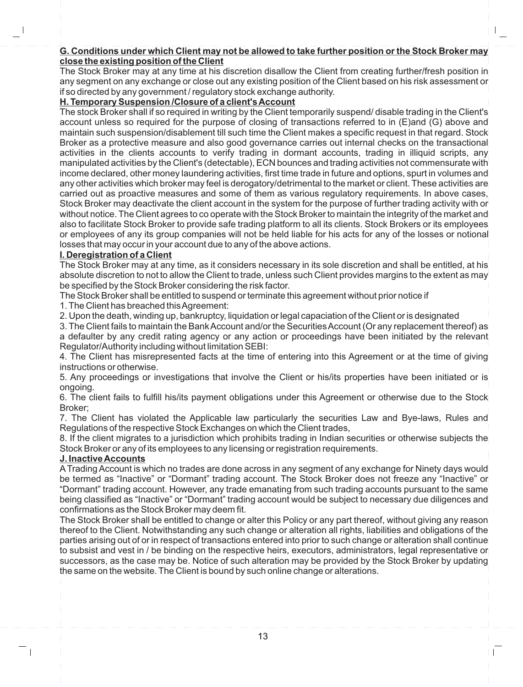## **G. Conditions under which Client may not be allowed to take further position or the Stock Broker may close the existing position of the Client**

The Stock Broker may at any time at his discretion disallow the Client from creating further/fresh position in any segment on any exchange or close out any existing position of the Client based on his risk assessment or if so directed by any government / regulatory stock exchange authority.

## **H. Temporary Suspension /Closure of a client's Account**

The stock Broker shall if so required in writing by the Client temporarily suspend/ disable trading in the Client's account unless so required for the purpose of closing of transactions referred to in (E)and (G) above and maintain such suspension/disablement till such time the Client makes a specific request in that regard. Stock Broker as a protective measure and also good governance carries out internal checks on the transactional activities in the clients accounts to verify trading in dormant accounts, trading in illiquid scripts, any manipulated activities by the Client's (detectable), ECN bounces and trading activities not commensurate with income declared, other money laundering activities, first time trade in future and options, spurt in volumes and any other activities which broker may feel is derogatory/detrimental to the market or client. These activities are carried out as proactive measures and some of them as various regulatory requirements. In above cases, Stock Broker may deactivate the client account in the system for the purpose of further trading activity with or without notice. The Client agrees to co operate with the Stock Broker to maintain the integrity of the market and also to facilitate Stock Broker to provide safe trading platform to all its clients. Stock Brokers or its employees or employees of any its group companies will not be held liable for his acts for any of the losses or notional losses that may occur in your account due to any of the above actions.

## **I. Deregistration of a Client**

The Stock Broker may at any time, as it considers necessary in its sole discretion and shall be entitled, at his absolute discretion to not to allow the Client to trade, unless such Client provides margins to the extent as may be specified by the Stock Broker considering the risk factor.

The Stock Broker shall be entitled to suspend or terminate this agreement without prior notice if

1. The Client has breached this Agreement:

2. Upon the death, winding up, bankruptcy, liquidation or legal capaciation of the Client or is designated

3. The Client fails to maintain the Bank Account and/or the Securities Account (Or any replacement thereof) as a defaulter by any credit rating agency or any action or proceedings have been initiated by the relevant Regulator/Authority including without limitation SEBI:

4. The Client has misrepresented facts at the time of entering into this Agreement or at the time of giving instructions or otherwise.

5. Any proceedings or investigations that involve the Client or his/its properties have been initiated or is ongoing.

6. The client fails to fulfill his/its payment obligations under this Agreement or otherwise due to the Stock Broker;

7. The Client has violated the Applicable law particularly the securities Law and Bye-laws, Rules and Regulations of the respective Stock Exchanges on which the Client trades,

8. If the client migrates to a jurisdiction which prohibits trading in Indian securities or otherwise subjects the Stock Broker or any of its employees to any licensing or registration requirements.

## **J. Inactive Accounts**

ATrading Account is which no trades are done across in any segment of any exchange for Ninety days would be termed as "Inactive" or "Dormant" trading account. The Stock Broker does not freeze any "Inactive" or "Dormant" trading account. However, any trade emanating from such trading accounts pursuant to the same being classified as "Inactive" or "Dormant" trading account would be subject to necessary due diligences and confirmations as the Stock Broker may deem fit.

The Stock Broker shall be entitled to change or alter this Policy or any part thereof, without giving any reason thereof to the Client. Notwithstanding any such change or alteration all rights, liabilities and obligations of the parties arising out of or in respect of transactions entered into prior to such change or alteration shall continue to subsist and vest in / be binding on the respective heirs, executors, administrators, legal representative or successors, as the case may be. Notice of such alteration may be provided by the Stock Broker by updating the same on the website. The Client is bound by such online change or alterations.